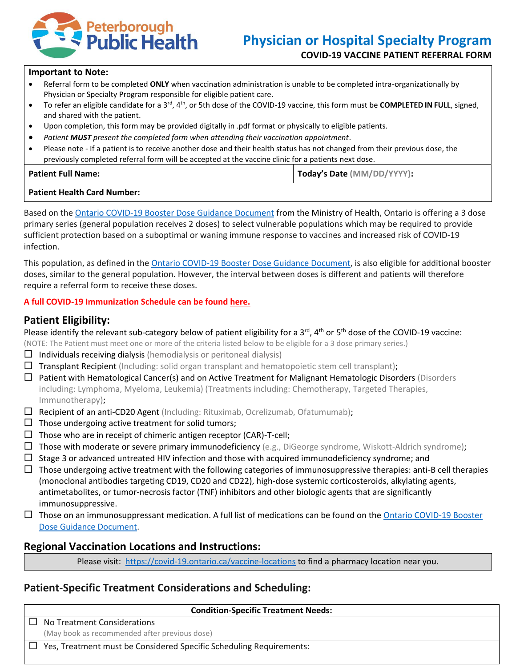

### **Important to Note:**

- Referral form to be completed **ONLY** when vaccination administration is unable to be completed intra-organizationally by Physician or Specialty Program responsible for eligible patient care.
- To refer an eligible candidate for a 3<sup>rd</sup>, 4<sup>th</sup>, or 5th dose of the COVID-19 vaccine, this form must be **COMPLETED IN FULL**, signed, and shared with the patient.
- Upon completion, this form may be provided digitally in .pdf format or physically to eligible patients.
- *Patient MUST present the completed form when attending their vaccination appointment*.
- Please note If a patient is to receive another dose and their health status has not changed from their previous dose, the previously completed referral form will be accepted at the vaccine clinic for a patients next dose.

| <b>Patient Full Name:</b> | Today's Date (MM/DD/YYYY): |
|---------------------------|----------------------------|
|                           |                            |

### **Patient Health Card Number:**

Based on the [Ontario COVID-19 Booster Dose Guidance Document](https://www.health.gov.on.ca/en/pro/programs/publichealth/coronavirus/docs/vaccine/COVID-19_vaccine_third_dose_recommendations.pdf) from the Ministry of Health, Ontario is offering a 3 dose primary series (general population receives 2 doses) to select vulnerable populations which may be required to provide sufficient protection based on a suboptimal or waning immune response to vaccines and increased risk of COVID-19 infection.

This population, as defined in th[e Ontario COVID-19 Booster Dose Guidance Document,](https://www.health.gov.on.ca/en/pro/programs/publichealth/coronavirus/docs/vaccine/COVID-19_vaccine_third_dose_recommendations.pdf) is also eligible for additional booster doses, similar to the general population. However, the interval between doses is different and patients will therefore require a referral form to receive these doses.

### **A full COVID-19 Immunization Schedule can be found [here.](https://www.peterboroughpublichealth.ca/novel-coronavirus-covid-19/covid-19-vaccine-clinic/#eligible)**

# **Patient Eligibility:**

Please identify the relevant sub-category below of patient eligibility for a 3<sup>rd</sup>, 4<sup>th</sup> or 5<sup>th</sup> dose of the COVID-19 vaccine:

(NOTE: The Patient must meet one or more of the criteria listed below to be eligible for a 3 dose primary series.)

- $\Box$  Individuals receiving dialysis (hemodialysis or peritoneal dialysis)
- $\Box$  Transplant Recipient (Including: solid organ transplant and hematopoietic stem cell transplant);
- $\Box$  Patient with Hematological Cancer(s) and on Active Treatment for Malignant Hematologic Disorders (Disorders including: Lymphoma, Myeloma, Leukemia) (Treatments including: Chemotherapy, Targeted Therapies, Immunotherapy);
- $\Box$  Recipient of an anti-CD20 Agent (Including: Rituximab, Ocrelizumab, Ofatumumab);
- $\Box$  Those undergoing active treatment for solid tumors;
- $\Box$  Those who are in receipt of chimeric antigen receptor (CAR)-T-cell;
- $\Box$  Those with moderate or severe primary immunodeficiency (e.g., DiGeorge syndrome, Wiskott-Aldrich syndrome);
- $\Box$  Stage 3 or advanced untreated HIV infection and those with acquired immunodeficiency syndrome; and
- $\Box$  Those undergoing active treatment with the following categories of immunosuppressive therapies: anti-B cell therapies (monoclonal antibodies targeting CD19, CD20 and CD22), high-dose systemic corticosteroids, alkylating agents, antimetabolites, or tumor-necrosis factor (TNF) inhibitors and other biologic agents that are significantly immunosuppressive.
- $\Box$  Those on an immunosuppressant medication. A full list of medications can be found on the Ontario COVID-19 Booster [Dose Guidance Document.](https://www.health.gov.on.ca/en/pro/programs/publichealth/coronavirus/docs/vaccine/COVID-19_vaccine_third_dose_recommendations.pdf)

# **Regional Vaccination Locations and Instructions:**

Please visit:<https://covid-19.ontario.ca/vaccine-locations> to find a pharmacy location near you.

# **Patient-Specific Treatment Considerations and Scheduling:**

| <b>Condition-Specific Treatment Needs:</b>                          |  |  |
|---------------------------------------------------------------------|--|--|
| No Treatment Considerations                                         |  |  |
| (May book as recommended after previous dose)                       |  |  |
| Yes, Treatment must be Considered Specific Scheduling Requirements: |  |  |